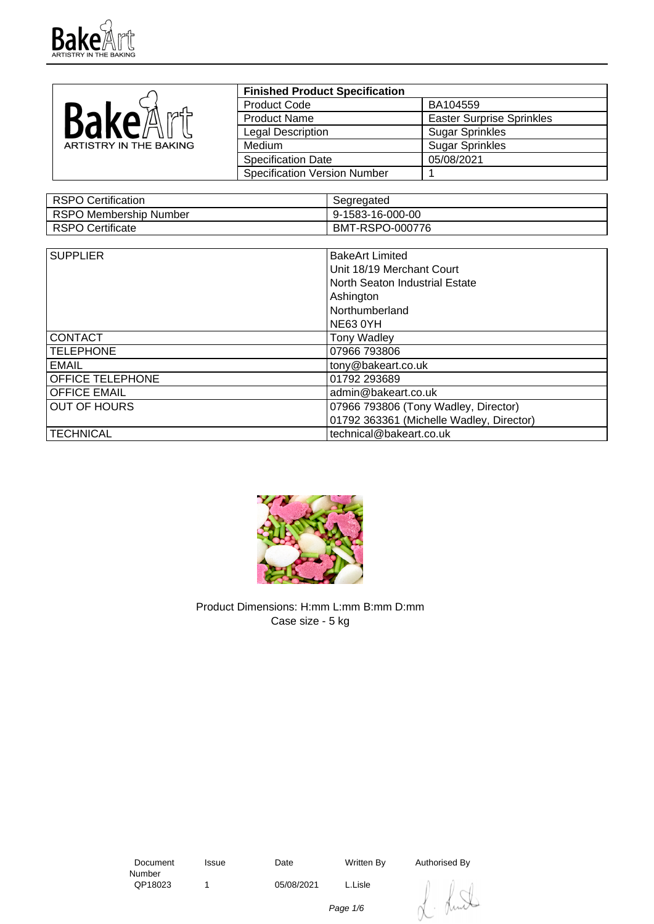

|                        | <b>Finished Product Specification</b> |                                  |
|------------------------|---------------------------------------|----------------------------------|
| BakeA<br>n⁄nd≒         | <b>Product Code</b>                   | BA104559                         |
|                        | <b>Product Name</b>                   | <b>Easter Surprise Sprinkles</b> |
|                        | <b>Legal Description</b>              | <b>Sugar Sprinkles</b>           |
| ARTISTRY IN THE BAKING | Medium                                | <b>Sugar Sprinkles</b>           |
|                        | <b>Specification Date</b>             | 05/08/2021                       |
|                        | <b>Specification Version Number</b>   |                                  |

| RSPO Certification     | Segregated       |
|------------------------|------------------|
| RSPO Membership Number | 9-1583-16-000-00 |
| RSPO Certificate       | BMT-RSPO-000776  |

| <b>SUPPLIER</b>         | <b>BakeArt Limited</b>                   |
|-------------------------|------------------------------------------|
|                         | Unit 18/19 Merchant Court                |
|                         | North Seaton Industrial Estate           |
|                         | Ashington                                |
|                         | Northumberland                           |
|                         | <b>NE63 0YH</b>                          |
| <b>CONTACT</b>          | <b>Tony Wadley</b>                       |
| <b>TELEPHONE</b>        | 07966 793806                             |
| <b>EMAIL</b>            | tony@bakeart.co.uk                       |
| <b>OFFICE TELEPHONE</b> | 01792 293689                             |
| <b>OFFICE EMAIL</b>     | admin@bakeart.co.uk                      |
| <b>OUT OF HOURS</b>     | 07966 793806 (Tony Wadley, Director)     |
|                         | 01792 363361 (Michelle Wadley, Director) |
| <b>TECHNICAL</b>        | technical@bakeart.co.uk                  |



Product Dimensions: H:mm L:mm B:mm D:mm Case size - 5 kg

 Document Number<br>QP18023

1 05/08/2021 L.Lisle

Issue Date Written By Authorised By

Page 1/6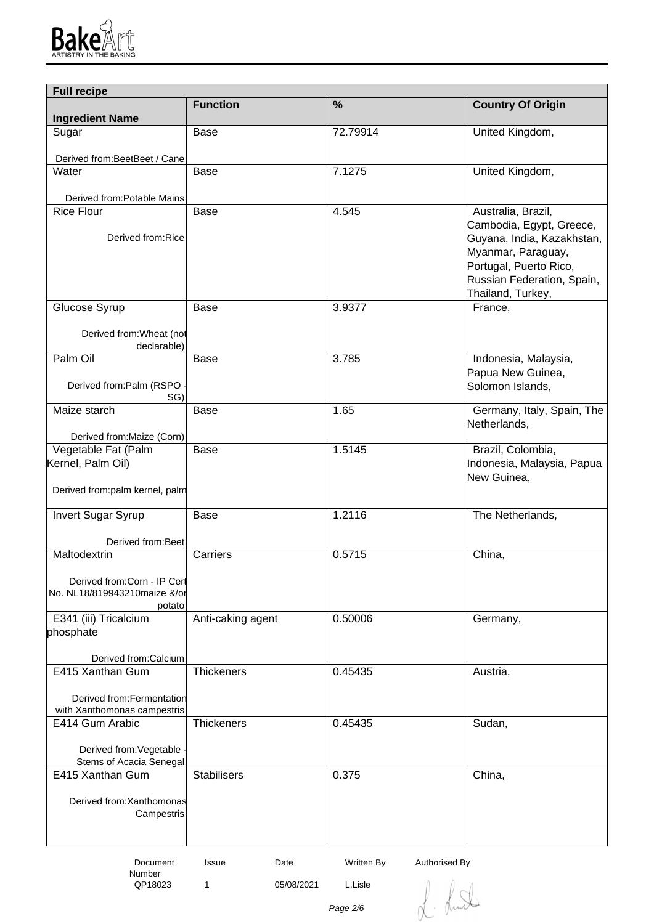

| <b>Full recipe</b>                                          |                    |            |                                              |  |  |
|-------------------------------------------------------------|--------------------|------------|----------------------------------------------|--|--|
| <b>Ingredient Name</b>                                      | <b>Function</b>    | %          | <b>Country Of Origin</b>                     |  |  |
| Sugar                                                       | Base               | 72.79914   | United Kingdom,                              |  |  |
| Derived from:BeetBeet / Cane                                |                    |            |                                              |  |  |
| Water                                                       | <b>Base</b>        | 7.1275     | United Kingdom,                              |  |  |
|                                                             |                    |            |                                              |  |  |
| Derived from: Potable Mains<br><b>Rice Flour</b>            | Base               | 4.545      | Australia, Brazil,                           |  |  |
|                                                             |                    |            | Cambodia, Egypt, Greece,                     |  |  |
| Derived from:Rice                                           |                    |            | Guyana, India, Kazakhstan,                   |  |  |
|                                                             |                    |            | Myanmar, Paraguay,<br>Portugal, Puerto Rico, |  |  |
|                                                             |                    |            | Russian Federation, Spain,                   |  |  |
|                                                             |                    |            | Thailand, Turkey,                            |  |  |
| Glucose Syrup                                               | Base               | 3.9377     | France,                                      |  |  |
| Derived from: Wheat (not                                    |                    |            |                                              |  |  |
| declarable)                                                 |                    |            |                                              |  |  |
| Palm Oil                                                    | <b>Base</b>        | 3.785      | Indonesia, Malaysia,<br>Papua New Guinea,    |  |  |
| Derived from:Palm (RSPO                                     |                    |            | Solomon Islands,                             |  |  |
| SG)                                                         |                    |            |                                              |  |  |
| Maize starch                                                | <b>Base</b>        | 1.65       | Germany, Italy, Spain, The<br>Netherlands,   |  |  |
| Derived from: Maize (Corn)                                  |                    |            |                                              |  |  |
| Vegetable Fat (Palm                                         | <b>Base</b>        | 1.5145     | Brazil, Colombia,                            |  |  |
| Kernel, Palm Oil)                                           |                    |            | Indonesia, Malaysia, Papua<br>New Guinea,    |  |  |
| Derived from:palm kernel, palm                              |                    |            |                                              |  |  |
| <b>Invert Sugar Syrup</b>                                   | Base               | 1.2116     | The Netherlands,                             |  |  |
|                                                             |                    |            |                                              |  |  |
| Derived from: Beet<br>Maltodextrin                          | Carriers           | 0.5715     | China,                                       |  |  |
|                                                             |                    |            |                                              |  |  |
| Derived from:Corn - IP Cert<br>No. NL18/819943210maize &/or |                    |            |                                              |  |  |
| potato                                                      |                    |            |                                              |  |  |
| E341 (iii) Tricalcium                                       | Anti-caking agent  | 0.50006    | Germany,                                     |  |  |
| phosphate                                                   |                    |            |                                              |  |  |
| Derived from:Calcium                                        |                    |            |                                              |  |  |
| E415 Xanthan Gum                                            | <b>Thickeners</b>  | 0.45435    | Austria,                                     |  |  |
| Derived from: Fermentation                                  |                    |            |                                              |  |  |
| with Xanthomonas campestris                                 |                    |            |                                              |  |  |
| E414 Gum Arabic                                             | <b>Thickeners</b>  | 0.45435    | Sudan,                                       |  |  |
| Derived from: Vegetable                                     |                    |            |                                              |  |  |
| Stems of Acacia Senegal                                     |                    |            |                                              |  |  |
| E415 Xanthan Gum                                            | <b>Stabilisers</b> | 0.375      | China,                                       |  |  |
| Derived from: Xanthomonas                                   |                    |            |                                              |  |  |
| Campestris                                                  |                    |            |                                              |  |  |
|                                                             |                    |            |                                              |  |  |
| Document                                                    | Issue<br>Date      | Written By | Authorised By                                |  |  |

1 05/08/2021 L.Lisle

Number<br>QP18023

L. Lund

Page 2/6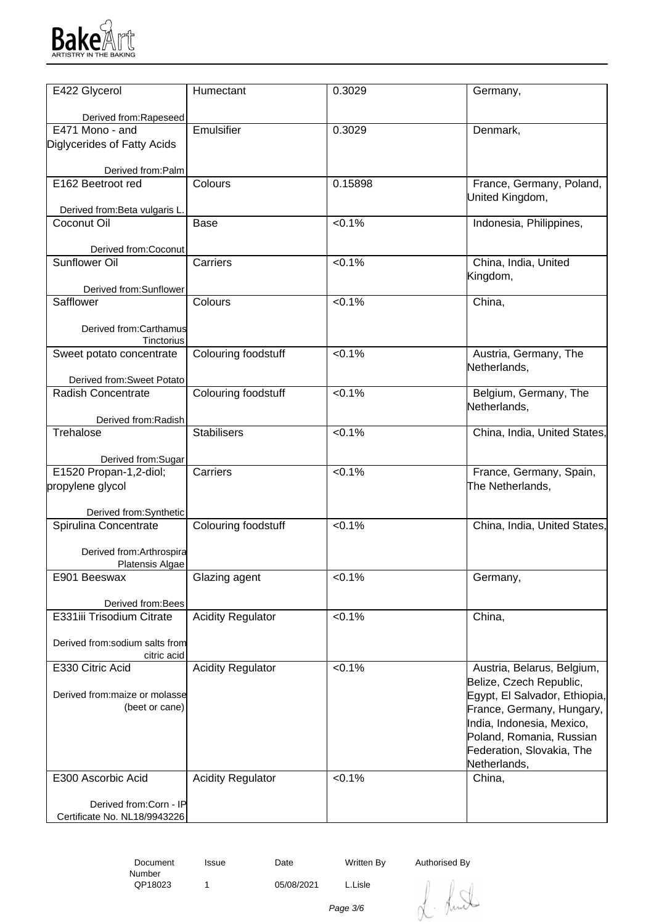

| E422 Glycerol                  | Humectant                  | 0.3029    | Germany,                      |
|--------------------------------|----------------------------|-----------|-------------------------------|
| Derived from:Rapeseed          |                            |           |                               |
| E471 Mono - and                | Emulsifier                 | 0.3029    | Denmark,                      |
| Diglycerides of Fatty Acids    |                            |           |                               |
|                                |                            |           |                               |
| Derived from:Palm              |                            |           |                               |
| E162 Beetroot red              | Colours                    | 0.15898   |                               |
|                                |                            |           | France, Germany, Poland,      |
|                                |                            |           | United Kingdom,               |
| Derived from: Beta vulgaris L. |                            |           |                               |
| Coconut Oil                    | <b>Base</b>                | $< 0.1\%$ | Indonesia, Philippines,       |
|                                |                            |           |                               |
| Derived from:Coconut           |                            |           |                               |
| Sunflower Oil                  | Carriers                   | $< 0.1\%$ | China, India, United          |
|                                |                            |           | Kingdom,                      |
| Derived from:Sunflower         |                            |           |                               |
|                                |                            |           |                               |
| Safflower                      | Colours                    | $< 0.1\%$ | China,                        |
|                                |                            |           |                               |
| Derived from:Carthamus         |                            |           |                               |
| Tinctorius                     |                            |           |                               |
| Sweet potato concentrate       | Colouring foodstuff        | $< 0.1\%$ | Austria, Germany, The         |
|                                |                            |           | Netherlands,                  |
| Derived from: Sweet Potato     |                            |           |                               |
| <b>Radish Concentrate</b>      | <b>Colouring foodstuff</b> | $< 0.1\%$ | Belgium, Germany, The         |
|                                |                            |           |                               |
|                                |                            |           | Netherlands,                  |
| Derived from: Radish           |                            |           |                               |
| Trehalose                      | <b>Stabilisers</b>         | $< 0.1\%$ | China, India, United States,  |
|                                |                            |           |                               |
| Derived from: Sugar            |                            |           |                               |
| E1520 Propan-1,2-diol;         | Carriers                   | $< 0.1\%$ | France, Germany, Spain,       |
| propylene glycol               |                            |           | The Netherlands,              |
|                                |                            |           |                               |
| Derived from:Synthetic         |                            |           |                               |
|                                |                            | < 0.1%    |                               |
| Spirulina Concentrate          | Colouring foodstuff        |           | China, India, United States,  |
|                                |                            |           |                               |
| Derived from: Arthrospira      |                            |           |                               |
| Platensis Algae                |                            |           |                               |
| E901 Beeswax                   | Glazing agent              | < 0.1%    | Germany,                      |
|                                |                            |           |                               |
| Derived from: Bees             |                            |           |                               |
| E331iii Trisodium Citrate      | <b>Acidity Regulator</b>   | $< 0.1\%$ | China,                        |
|                                |                            |           |                               |
| Derived from:sodium salts from |                            |           |                               |
|                                |                            |           |                               |
| citric acid                    |                            |           |                               |
| E330 Citric Acid               | <b>Acidity Regulator</b>   | $< 0.1\%$ | Austria, Belarus, Belgium,    |
|                                |                            |           | Belize, Czech Republic,       |
| Derived from: maize or molasse |                            |           | Egypt, El Salvador, Ethiopia, |
| (beet or cane)                 |                            |           | France, Germany, Hungary,     |
|                                |                            |           | India, Indonesia, Mexico,     |
|                                |                            |           |                               |
|                                |                            |           | Poland, Romania, Russian      |
|                                |                            |           | Federation, Slovakia, The     |
|                                |                            |           | Netherlands,                  |
| E300 Ascorbic Acid             | <b>Acidity Regulator</b>   | $< 0.1\%$ | China,                        |
|                                |                            |           |                               |
| Derived from:Corn - IP         |                            |           |                               |
| Certificate No. NL18/9943226   |                            |           |                               |
|                                |                            |           |                               |

 Document Number<br>QP18023

1 05/08/2021 L.Lisle

Issue Date Written By Authorised By

L. Lund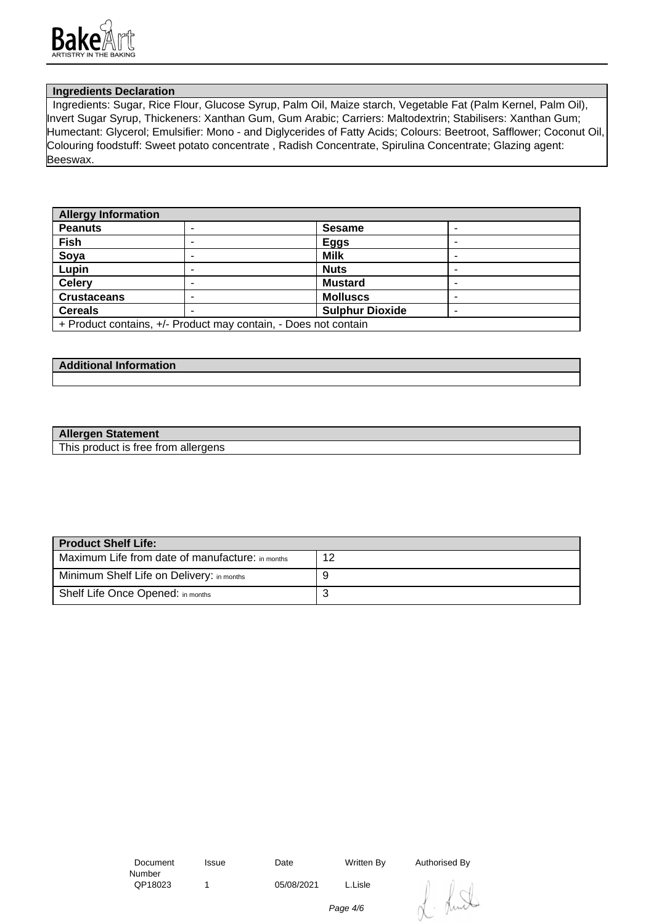

## **Ingredients Declaration**

 Ingredients: Sugar, Rice Flour, Glucose Syrup, Palm Oil, Maize starch, Vegetable Fat (Palm Kernel, Palm Oil), Invert Sugar Syrup, Thickeners: Xanthan Gum, Gum Arabic; Carriers: Maltodextrin; Stabilisers: Xanthan Gum; Humectant: Glycerol; Emulsifier: Mono - and Diglycerides of Fatty Acids; Colours: Beetroot, Safflower; Coconut Oil, Colouring foodstuff: Sweet potato concentrate , Radish Concentrate, Spirulina Concentrate; Glazing agent: Beeswax.

| <b>Allergy Information</b>                                      |   |                        |   |  |
|-----------------------------------------------------------------|---|------------------------|---|--|
| <b>Peanuts</b>                                                  |   | <b>Sesame</b>          |   |  |
| <b>Fish</b>                                                     | - | <b>Eggs</b>            |   |  |
| Soya                                                            |   | <b>Milk</b>            |   |  |
| Lupin                                                           | - | <b>Nuts</b>            | - |  |
| <b>Celery</b>                                                   | - | <b>Mustard</b>         |   |  |
| <b>Crustaceans</b>                                              |   | <b>Molluscs</b>        |   |  |
| <b>Cereals</b>                                                  |   | <b>Sulphur Dioxide</b> |   |  |
| + Product contains, +/- Product may contain, - Does not contain |   |                        |   |  |

## **Additional Information**

## **Allergen Statement**

This product is free from allergens

| Product Shelf Life:                              |    |  |  |  |
|--------------------------------------------------|----|--|--|--|
| Maximum Life from date of manufacture: in months | 12 |  |  |  |
| Minimum Shelf Life on Delivery: in months        |    |  |  |  |
| Shelf Life Once Opened: in months                |    |  |  |  |

| Document<br>Number | <b>Issue</b> | Date       | Written By | Authorised By |
|--------------------|--------------|------------|------------|---------------|
| QP18023            |              | 05/08/2021 | L.Lisle    |               |
|                    |              |            | Page 4/6   | Munt          |

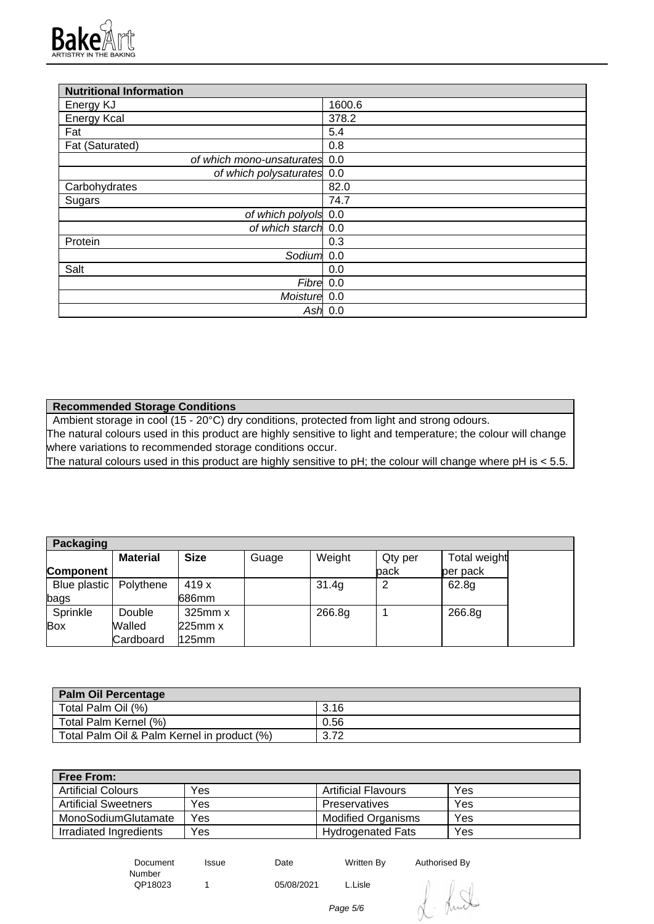

| <b>Nutritional Information</b> |           |
|--------------------------------|-----------|
| Energy KJ                      | 1600.6    |
| <b>Energy Kcal</b>             | 378.2     |
| Fat                            | 5.4       |
| Fat (Saturated)                | 0.8       |
| of which mono-unsaturates 0.0  |           |
| of which polysaturates 0.0     |           |
| Carbohydrates                  | 82.0      |
| Sugars                         | 74.7      |
| of which polyols 0.0           |           |
| of which starch 0.0            |           |
| Protein                        | 0.3       |
| Sodium <sup>0.0</sup>          |           |
| Salt                           | 0.0       |
| Fibre 0.0                      |           |
| Moisture 0.0                   |           |
|                                | Ash $0.0$ |

**Recommended Storage Conditions**

Ambient storage in cool (15 - 20°C) dry conditions, protected from light and strong odours. The natural colours used in this product are highly sensitive to light and temperature; the colour will change where variations to recommended storage conditions occur. The natural colours used in this product are highly sensitive to pH; the colour will change where pH is < 5.5.

| Packaging                |                 |              |       |        |         |              |
|--------------------------|-----------------|--------------|-------|--------|---------|--------------|
|                          | <b>Material</b> | <b>Size</b>  | Guage | Weight | Qty per | Total weight |
| Component                |                 |              |       |        | back    | per pack     |
| Blue plastic   Polythene |                 | 419x         |       | 31.4g  | 2       | 62.8g        |
| bags                     |                 | 686mm        |       |        |         |              |
| Sprinkle                 | Double          | $325$ mm $x$ |       | 266.8g |         | 266.8g       |
| Box                      | Walled          | $225$ mm $x$ |       |        |         |              |
|                          | Cardboard       | $125$ mm     |       |        |         |              |

| <b>Palm Oil Percentage</b>                  |      |
|---------------------------------------------|------|
| Total Palm Oil (%)                          | 3.16 |
| Total Palm Kernel (%)                       | 0.56 |
| Total Palm Oil & Palm Kernel in product (%) | 3.72 |

| <b>Free From:</b>           |     |                            |     |
|-----------------------------|-----|----------------------------|-----|
| <b>Artificial Colours</b>   | Yes | <b>Artificial Flavours</b> | Yes |
| <b>Artificial Sweetners</b> | Yes | Preservatives              | Yes |
| MonoSodiumGlutamate         | Yes | <b>Modified Organisms</b>  | Yes |
| Irradiated Ingredients      | Yes | <b>Hydrogenated Fats</b>   | Yes |

 Document Number<br>QP18023 Issue Date Written By Authorised By 1 05/08/2021 L.Lisle

Page 5/6